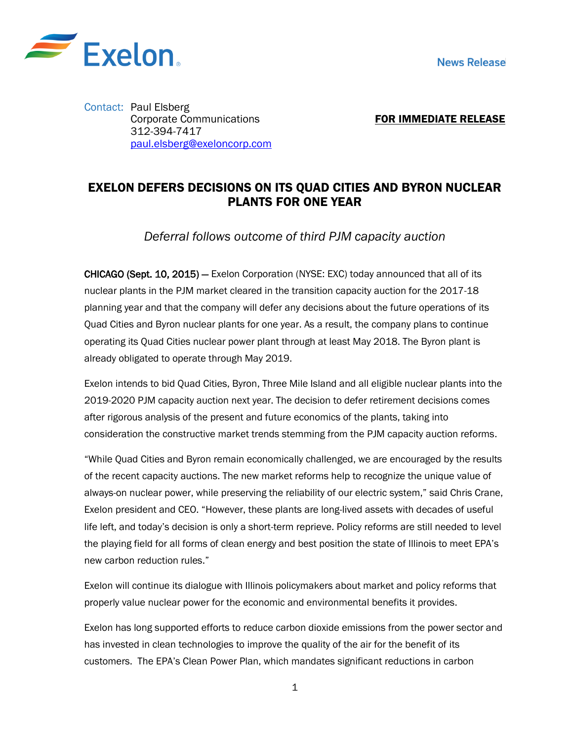

Contact: Paul Elsberg Corporate Communications 312-394-7417 [paul.elsberg@exeloncorp.com](mailto:paul.elsberg@exeloncorp.com)

FOR IMMEDIATE RELEASE

## EXELON DEFERS DECISIONS ON ITS QUAD CITIES AND BYRON NUCLEAR PLANTS FOR ONE YEAR

*Deferral follows outcome of third PJM capacity auction*

CHICAGO (Sept. 10, 2015) — Exelon Corporation (NYSE: EXC) today announced that all of its nuclear plants in the PJM market cleared in the transition capacity auction for the 2017-18 planning year and that the company will defer any decisions about the future operations of its Quad Cities and Byron nuclear plants for one year. As a result, the company plans to continue operating its Quad Cities nuclear power plant through at least May 2018. The Byron plant is already obligated to operate through May 2019.

Exelon intends to bid Quad Cities, Byron, Three Mile Island and all eligible nuclear plants into the 2019-2020 PJM capacity auction next year. The decision to defer retirement decisions comes after rigorous analysis of the present and future economics of the plants, taking into consideration the constructive market trends stemming from the PJM capacity auction reforms.

"While Quad Cities and Byron remain economically challenged, we are encouraged by the results of the recent capacity auctions. The new market reforms help to recognize the unique value of always-on nuclear power, while preserving the reliability of our electric system," said Chris Crane, Exelon president and CEO. "However, these plants are long-lived assets with decades of useful life left, and today's decision is only a short-term reprieve. Policy reforms are still needed to level the playing field for all forms of clean energy and best position the state of Illinois to meet EPA's new carbon reduction rules."

Exelon will continue its dialogue with Illinois policymakers about market and policy reforms that properly value nuclear power for the economic and environmental benefits it provides.

Exelon has long supported efforts to reduce carbon dioxide emissions from the power sector and has invested in clean technologies to improve the quality of the air for the benefit of its customers. The EPA's Clean Power Plan, which mandates significant reductions in carbon